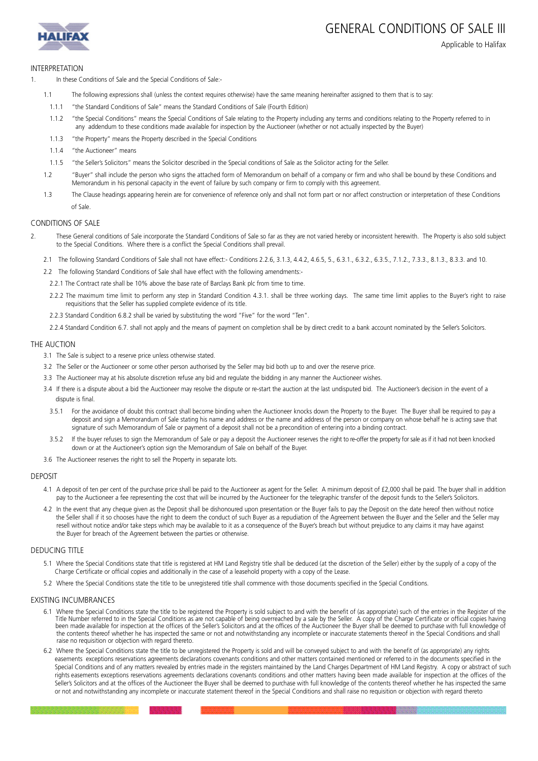



# Applicable to Halifax

### INTERPRETATION

- 1. In these Conditions of Sale and the Special Conditions of Sale:-
	- 1.1 The following expressions shall (unless the context requires otherwise) have the same meaning hereinafter assigned to them that is to say:
	- 1.1.1 "the Standard Conditions of Sale" means the Standard Conditions of Sale (Fourth Edition)
	- 1.1.2 "the Special Conditions" means the Special Conditions of Sale relating to the Property including any terms and conditions relating to the Property referred to in any addendum to these conditions made available for inspection by the Auctioneer (whether or not actually inspected by the Buyer)
	- 1.1.3 "the Property" means the Property described in the Special Conditions
	- 1.1.4 "the Auctioneer" means
	- 1.1.5 "the Seller's Solicitors" means the Solicitor described in the Special conditions of Sale as the Solicitor acting for the Seller.
	- 1.2 "Buyer" shall include the person who signs the attached form of Memorandum on behalf of a company or firm and who shall be bound by these Conditions and Memorandum in his personal capacity in the event of failure by such company or firm to comply with this agreement.
	- 1.3 The Clause headings appearing herein are for convenience of reference only and shall not form part or nor affect construction or interpretation of these Conditions of Sale.

# CONDITIONS OF SALE

- 2. These General conditions of Sale incorporate the Standard Conditions of Sale so far as they are not varied hereby or inconsistent herewith. The Property is also sold subject to the Special Conditions. Where there is a conflict the Special Conditions shall prevail.
	- 2.1 The following Standard Conditions of Sale shall not have effect:- Conditions 2.2.6, 3.1.3, 4.4.2, 4.6.5, 5., 6.3.1., 6.3.2., 6.3.5., 7.1.2., 7.3.3., 8.1.3., 8.3.3. and 10.
	- 2.2 The following Standard Conditions of Sale shall have effect with the following amendments:-
		- 2.2.1 The Contract rate shall be 10% above the base rate of Barclays Bank plc from time to time.
		- 2.2.2 The maximum time limit to perform any step in Standard Condition 4.3.1. shall be three working days. The same time limit applies to the Buyer's right to raise requisitions that the Seller has supplied complete evidence of its title.
	- 2.2.3 Standard Condition 6.8.2 shall be varied by substituting the word "Five" for the word "Ten".
	- 2.2.4 Standard Condition 6.7. shall not apply and the means of payment on completion shall be by direct credit to a bank account nominated by the Seller's Solicitors.

#### THE AUCTION

- 3.1 The Sale is subject to a reserve price unless otherwise stated.
- 3.2 The Seller or the Auctioneer or some other person authorised by the Seller may bid both up to and over the reserve price.
- 3.3 The Auctioneer may at his absolute discretion refuse any bid and regulate the bidding in any manner the Auctioneer wishes.
- 3.4 If there is a dispute about a bid the Auctioneer may resolve the dispute or re-start the auction at the last undisputed bid. The Auctioneer's decision in the event of a dispute is final.
	- 3.5.1 For the avoidance of doubt this contract shall become binding when the Auctioneer knocks down the Property to the Buyer. The Buyer shall be required to pay a deposit and sign a Memorandum of Sale stating his name and address or the name and address of the person or company on whose behalf he is acting save that signature of such Memorandum of Sale or payment of a deposit shall not be a precondition of entering into a binding contract.
	- 3.5.2 If the buyer refuses to sign the Memorandum of Sale or pay a deposit the Auctioneer reserves the right to re-offer the property for sale as if it had not been knocked down or at the Auctioneer's option sign the Memorandum of Sale on behalf of the Buyer.
- 3.6 The Auctioneer reserves the right to sell the Property in separate lots.

#### **DEPOSIT**

- 4.1 A deposit of ten per cent of the purchase price shall be paid to the Auctioneer as agent for the Seller. A minimum deposit of £2,000 shall be paid. The buyer shall in addition pay to the Auctioneer a fee representing the cost that will be incurred by the Auctioneer for the telegraphic transfer of the deposit funds to the Seller's Solicitors.
- 4.2 In the event that any cheque given as the Deposit shall be dishonoured upon presentation or the Buyer fails to pay the Deposit on the date hereof then without notice the Seller shall if it so chooses have the right to deem the conduct of such Buyer as a repudiation of the Agreement between the Buyer and the Seller and the Seller may resell without notice and/or take steps which may be available to it as a consequence of the Buyer's breach but without prejudice to any claims it may have against the Buyer for breach of the Agreement between the parties or otherwise.

### DEDUCING TITLE

- 5.1 Where the Special Conditions state that title is registered at HM Land Registry title shall be deduced (at the discretion of the Seller) either by the supply of a copy of the Charge Certificate or official copies and additionally in the case of a leasehold property with a copy of the Lease.
- 5.2 Where the Special Conditions state the title to be unregistered title shall commence with those documents specified in the Special Conditions.

### EXISTING INCUMBRANCES

- 6.1 Where the Special Conditions state the title to be registered the Property is sold subject to and with the benefit of (as appropriate) such of the entries in the Register of the Title Number referred to in the Special Conditions as are not capable of being overreached by a sale by the Seller. A copy of the Charge Certificate or official copies having<br>been made available for inspection at the offi the contents thereof whether he has inspected the same or not and notwithstanding any incomplete or inaccurate statements thereof in the Special Conditions and shall raise no requisition or objection with regard thereto.
- 6.2 Where the Special Conditions state the title to be unregistered the Property is sold and will be conveyed subject to and with the benefit of (as appropriate) any rights easements exceptions reservations agreements declarations covenants conditions and other matters contained mentioned or referred to in the documents specified in the Special Conditions and of any matters revealed by entries made in the registers maintained by the Land Charges Department of HM Land Registry. A copy or abstract of such rights easements exceptions reservations agreements declarations covenants conditions and other matters having been made available for inspection at the offices of the Seller's Solicitors and at the offices of the Auctioneer the Buyer shall be deemed to purchase with full knowledge of the contents thereof whether he has inspected the same or not and notwithstanding any incomplete or inaccurate statement thereof in the Special Conditions and shall raise no requisition or objection with regard thereto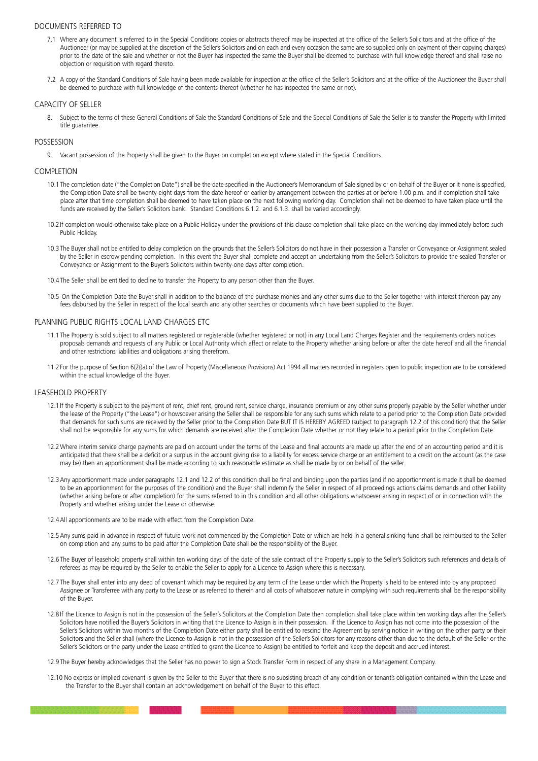# DOCUMENTS REFERRED TO

- 7.1 Where any document is referred to in the Special Conditions copies or abstracts thereof may be inspected at the office of the Seller's Solicitors and at the office of the Auctioneer (or may be supplied at the discretion of the Seller's Solicitors and on each and every occasion the same are so supplied only on payment of their copying charges) prior to the date of the sale and whether or not the Buyer has inspected the same the Buyer shall be deemed to purchase with full knowledge thereof and shall raise no objection or requisition with regard thereto.
- 7.2 A copy of the Standard Conditions of Sale having been made available for inspection at the office of the Seller's Solicitors and at the office of the Auctioneer the Buyer shall be deemed to purchase with full knowledge of the contents thereof (whether he has inspected the same or not).

### CAPACITY OF SELLER

8. Subject to the terms of these General Conditions of Sale the Standard Conditions of Sale and the Special Conditions of Sale the Seller is to transfer the Property with limited title quarantee

## POSSESSION

9. Vacant possession of the Property shall be given to the Buyer on completion except where stated in the Special Conditions.

### COMPLETION

- 10.1 The completion date ("the Completion Date") shall be the date specified in the Auctioneer's Memorandum of Sale signed by or on behalf of the Buyer or it none is specified, the Completion Date shall be twenty-eight days from the date hereof or earlier by arrangement between the parties at or before 1.00 p.m. and if completion shall take place after that time completion shall be deemed to have taken place on the next following working day. Completion shall not be deemed to have taken place until the funds are received by the Seller's Solicitors bank. Standard Conditions 6.1.2. and 6.1.3. shall be varied accordingly.
- 10.2 If completion would otherwise take place on a Public Holiday under the provisions of this clause completion shall take place on the working day immediately before such Public Holiday.
- 10.3 The Buyer shall not be entitled to delay completion on the grounds that the Seller's Solicitors do not have in their possession a Transfer or Conveyance or Assignment sealed by the Seller in escrow pending completion. In this event the Buyer shall complete and accept an undertaking from the Seller's Solicitors to provide the sealed Transfer or Conveyance or Assignment to the Buyer's Solicitors within twenty-one days after completion.
- 10.4 The Seller shall be entitled to decline to transfer the Property to any person other than the Buyer.
- 10.5 On the Completion Date the Buyer shall in addition to the balance of the purchase monies and any other sums due to the Seller together with interest thereon pay any fees disbursed by the Seller in respect of the local search and any other searches or documents which have been supplied to the Buyer.

### PLANNING PUBLIC RIGHTS LOCAL LAND CHARGES ETC

- 11.1 The Property is sold subject to all matters registered or registerable (whether registered or not) in any Local Land Charges Register and the requirements orders notices proposals demands and requests of any Public or Local Authority which affect or relate to the Property whether arising before or after the date hereof and all the financial and other restrictions liabilities and obligations arising therefrom.
- 11.2 For the purpose of Section 6(2((a) of the Law of Property (Miscellaneous Provisions) Act 1994 all matters recorded in registers open to public inspection are to be considered within the actual knowledge of the Buyer.

### LEASEHOLD PROPERTY

- 12.1 If the Property is subject to the payment of rent, chief rent, ground rent, service charge, insurance premium or any other sums properly payable by the Seller whether under the lease of the Property ("the Lease") or howsoever arising the Seller shall be responsible for any such sums which relate to a period prior to the Completion Date provided that demands for such sums are received by the Seller prior to the Completion Date BUT IT IS HEREBY AGREED (subject to paragraph 12.2 of this condition) that the Seller shall not be responsible for any sums for which demands are received after the Completion Date whether or not they relate to a period prior to the Completion Date.
- 12.2 Where interim service charge payments are paid on account under the terms of the Lease and final accounts are made up after the end of an accounting period and it is anticipated that there shall be a deficit or a surplus in the account giving rise to a liability for excess service charge or an entitlement to a credit on the account (as the case may be) then an apportionment shall be made according to such reasonable estimate as shall be made by or on behalf of the seller.
- 12.3Any apportionment made under paragraphs 12.1 and 12.2 of this condition shall be final and binding upon the parties (and if no apportionment is made it shall be deemed to be an apportionment for the purposes of the condition) and the Buyer shall indemnify the Seller in respect of all proceedings actions claims demands and other liability (whether arising before or after completion) for the sums referred to in this condition and all other obligations whatsoever arising in respect of or in connection with the Property and whether arising under the Lease or otherwise.
- 12.4All apportionments are to be made with effect from the Completion Date.
- 12.5Any sums paid in advance in respect of future work not commenced by the Completion Date or which are held in a general sinking fund shall be reimbursed to the Seller on completion and any sums to be paid after the Completion Date shall be the responsibility of the Buyer.
- 12.6 The Buyer of leasehold property shall within ten working days of the date of the sale contract of the Property supply to the Seller's Solicitors such references and details of referees as may be required by the Seller to enable the Seller to apply for a Licence to Assign where this is necessary.
- 12.7 The Buyer shall enter into any deed of covenant which may be required by any term of the Lease under which the Property is held to be entered into by any proposed Assignee or Transferree with any party to the Lease or as referred to therein and all costs of whatsoever nature in complying with such requirements shall be the responsibility of the Buyer.
- 12.8 If the Licence to Assign is not in the possession of the Seller's Solicitors at the Completion Date then completion shall take place within ten working days after the Seller's Solicitors have notified the Buyer's Solicitors in writing that the Licence to Assign is in their possession. If the Licence to Assign has not come into the possession of the Seller's Solicitors within two months of the Completion Date either party shall be entitled to rescind the Agreement by serving notice in writing on the other party or their Solicitors and the Seller shall (where the Licence to Assign is not in the possession of the Seller's Solicitors for any reasons other than due to the default of the Seller or the Seller's Solicitors or the party under the Lease entitled to grant the Licence to Assign) be entitled to forfeit and keep the deposit and accrued interest.
- 12.9 The Buyer hereby acknowledges that the Seller has no power to sign a Stock Transfer Form in respect of any share in a Management Company.
- 12.10 No express or implied covenant is given by the Seller to the Buyer that there is no subsisting breach of any condition or tenant's obligation contained within the Lease and the Transfer to the Buyer shall contain an acknowledgement on behalf of the Buyer to this effect.